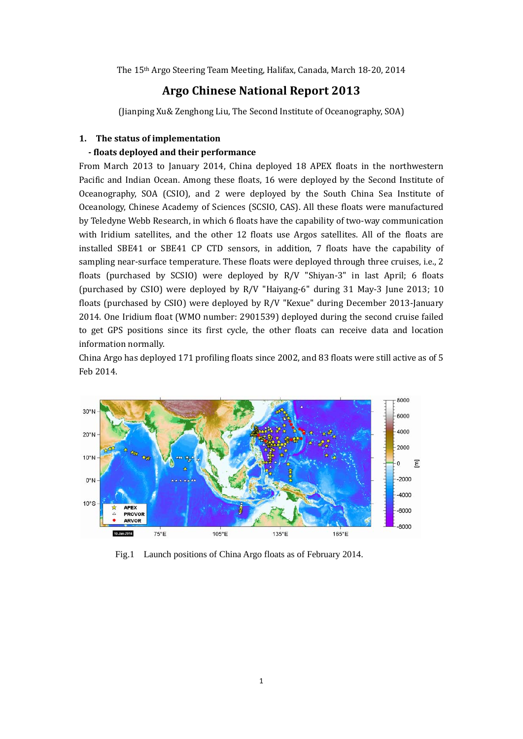The 15<sup>th</sup> Argo Steering Team Meeting, Halifax, Canada, March 18-20, 2014

## **Argo Chinese National Report 2013**

(Jianping Xu& Zenghong Liu, The Second Institute of Oceanography, SOA)

### **1. The status of implementation**

### **‐ floats deployed and their performance**

From March 2013 to January 2014, China deployed 18 APEX floats in the northwestern Pacific and Indian Ocean. Among these floats, 16 were deployed by the Second Institute of Oceanography, SOA (CSIO), and 2 were deployed by the South China Sea Institute of Oceanology, Chinese Academy of Sciences (SCSIO, CAS). All these floats were manufactured by Teledyne Webb Research, in which 6 floats have the capability of two-way communication with Iridium satellites, and the other 12 floats use Argos satellites. All of the floats are installed SBE41 or SBE41 CP CTD sensors, in addition, 7 floats have the capability of sampling near-surface temperature. These floats were deployed through three cruises, i.e., 2 floats (purchased by SCSIO) were deployed by R/V "Shiyan-3" in last April; 6 floats (purchased by CSIO) were deployed by  $R/V$  "Haiyang-6" during 31 May-3 June 2013; 10 floats (purchased by CSIO) were deployed by  $R/V$  "Kexue" during December 2013-January 2014. One Iridium float (WMO number: 2901539) deployed during the second cruise failed to get GPS positions since its first cycle, the other floats can receive data and location information normally.

China Argo has deployed 171 profiling floats since 2002, and 83 floats were still active as of 5 Feb 2014. 



Fig.1 Launch positions of China Argo floats as of February 2014.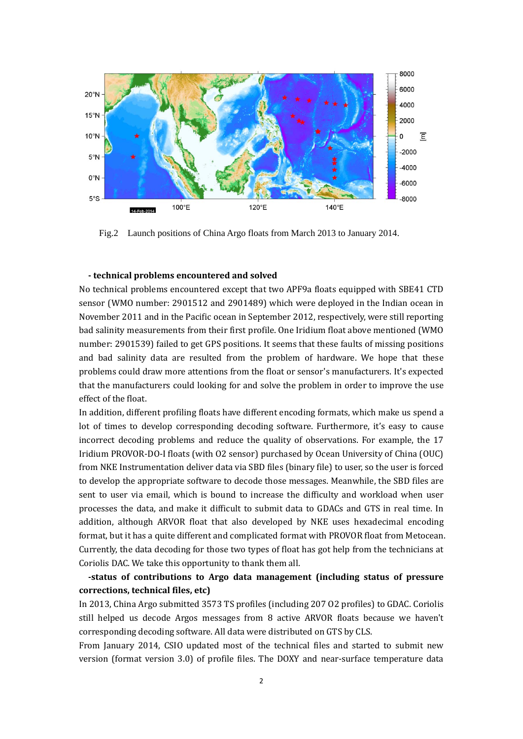

Fig.2 Launch positions of China Argo floats from March 2013 to January 2014.

#### **‐ technical problems encountered and solved**

No technical problems encountered except that two APF9a floats equipped with SBE41 CTD sensor (WMO number: 2901512 and 2901489) which were deployed in the Indian ocean in November 2011 and in the Pacific ocean in September 2012, respectively, were still reporting bad salinity measurements from their first profile. One Iridium float above mentioned (WMO number: 2901539) failed to get GPS positions. It seems that these faults of missing positions and bad salinity data are resulted from the problem of hardware. We hope that these problems could draw more attentions from the float or sensor's manufacturers. It's expected that the manufacturers could looking for and solve the problem in order to improve the use effect of the float.

In addition, different profiling floats have different encoding formats, which make us spend a lot of times to develop corresponding decoding software. Furthermore, it's easy to cause incorrect decoding problems and reduce the quality of observations. For example, the 17 Iridium PROVOR-DO-I floats (with O2 sensor) purchased by Ocean University of China (OUC) from NKE Instrumentation deliver data via SBD files (binary file) to user, so the user is forced to develop the appropriate software to decode those messages. Meanwhile, the SBD files are sent to user via email, which is bound to increase the difficulty and workload when user processes the data, and make it difficult to submit data to GDACs and GTS in real time. In addition, although ARVOR float that also developed by NKE uses hexadecimal encoding format, but it has a quite different and complicated format with PROVOR float from Metocean. Currently, the data decoding for those two types of float has got help from the technicians at Coriolis DAC. We take this opportunity to thank them all.

## **‐status of contributions to Argo data management (including status of pressure corrections, technical files, etc)**

In 2013, China Argo submitted 3573 TS profiles (including 207 O2 profiles) to GDAC. Coriolis still helped us decode Argos messages from 8 active ARVOR floats because we haven't corresponding decoding software. All data were distributed on GTS by CLS.

From January 2014, CSIO updated most of the technical files and started to submit new version (format version 3.0) of profile files. The DOXY and near-surface temperature data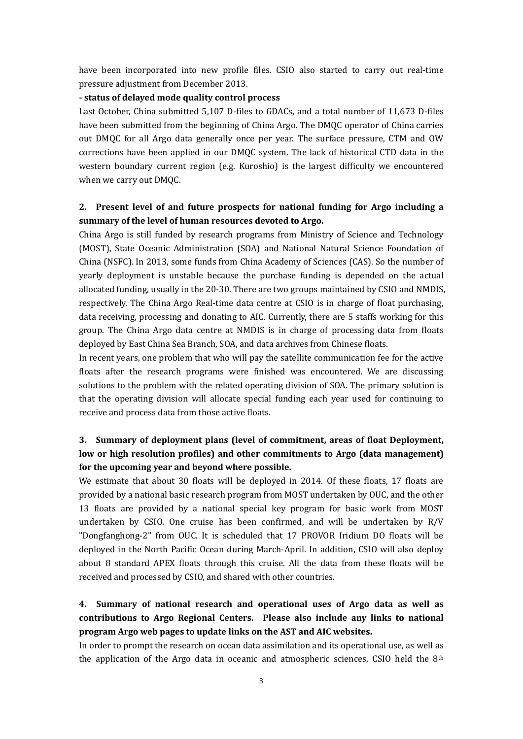have been incorporated into new profile files. CSIO also started to carry out real-time pressure adjustment from December 2013.

### **‐ status of delayed mode quality control process**

Last October, China submitted 5,107 D-files to GDACs, and a total number of 11,673 D-files have been submitted from the beginning of China Argo. The DMQC operator of China carries out DMQC for all Argo data generally once per year. The surface pressure, CTM and OW corrections have been applied in our DMQC system. The lack of historical CTD data in the western boundary current region (e.g. Kuroshio) is the largest difficulty we encountered when we carry out DMOC.

## **2. Present level of and future prospects for national funding for Argo including a summary of the level of human resources devoted to Argo.**

China Argo is still funded by research programs from Ministry of Science and Technology (MOST), State Oceanic Administration (SOA) and National Natural Science Foundation of China (NSFC). In 2013, some funds from China Academy of Sciences (CAS). So the number of yearly deployment is unstable because the purchase funding is depended on the actual allocated funding, usually in the 20-30. There are two groups maintained by CSIO and NMDIS, respectively. The China Argo Real-time data centre at CSIO is in charge of float purchasing, data receiving, processing and donating to AIC. Currently, there are 5 staffs working for this group. The China Argo data centre at NMDIS is in charge of processing data from floats deployed by East China Sea Branch, SOA, and data archives from Chinese floats.

In recent years, one problem that who will pay the satellite communication fee for the active floats after the research programs were finished was encountered. We are discussing solutions to the problem with the related operating division of SOA. The primary solution is that the operating division will allocate special funding each year used for continuing to receive and process data from those active floats.

# **3. Summary of deployment plans (level of commitment, areas of float Deployment, low or high resolution profiles) and other commitments to Argo (data management) for the upcoming year and beyond where possible.**

We estimate that about 30 floats will be deployed in 2014. Of these floats, 17 floats are provided by a national basic research program from MOST undertaken by OUC, and the other 13 floats are provided by a national special key program for basic work from MOST undertaken by CSIO. One cruise has been confirmed, and will be undertaken by  $R/V$ "Dongfanghong-2" from OUC. It is scheduled that 17 PROVOR Iridium DO floats will be deployed in the North Pacific Ocean during March-April. In addition, CSIO will also deploy about 8 standard APEX floats through this cruise. All the data from these floats will be received and processed by CSIO, and shared with other countries.

# **4. Summary of national research and operational uses of Argo data as well as contributions to Argo Regional Centers. Please also include any links to national program Argo web pages to update links on the AST and AIC websites.**

In order to prompt the research on ocean data assimilation and its operational use, as well as the application of the Argo data in oceanic and atmospheric sciences, CSIO held the  $8<sup>th</sup>$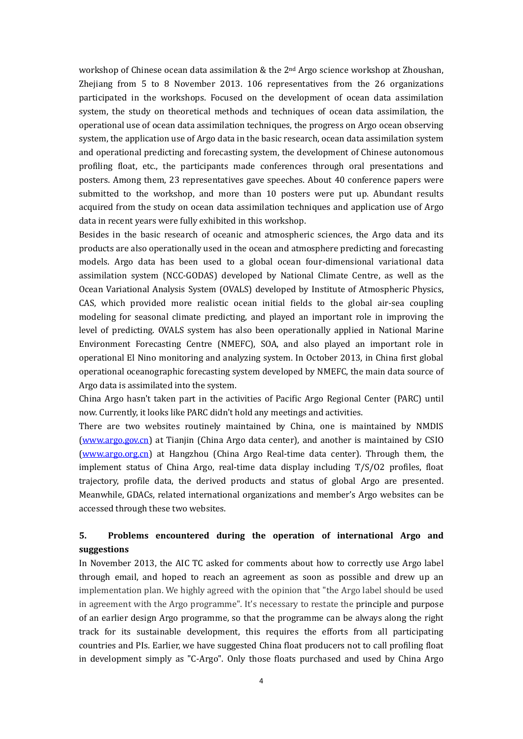workshop of Chinese ocean data assimilation & the  $2<sup>nd</sup>$  Argo science workshop at Zhoushan, Zhejiang from 5 to 8 November 2013.  $106$  representatives from the 26 organizations participated in the workshops. Focused on the development of ocean data assimilation system, the study on theoretical methods and techniques of ocean data assimilation, the operational use of ocean data assimilation techniques, the progress on Argo ocean observing system, the application use of Argo data in the basic research, ocean data assimilation system and operational predicting and forecasting system, the development of Chinese autonomous profiling float, etc., the participants made conferences through oral presentations and posters. Among them, 23 representatives gave speeches. About 40 conference papers were submitted to the workshop, and more than 10 posters were put up. Abundant results acquired from the study on ocean data assimilation techniques and application use of Argo data in recent years were fully exhibited in this workshop.

Besides in the basic research of oceanic and atmospheric sciences, the Argo data and its products are also operationally used in the ocean and atmosphere predicting and forecasting models. Argo data has been used to a global ocean four-dimensional variational data assimilation system (NCC-GODAS) developed by National Climate Centre, as well as the Ocean Variational Analysis System (OVALS) developed by Institute of Atmospheric Physics, CAS, which provided more realistic ocean initial fields to the global air-sea coupling modeling for seasonal climate predicting, and played an important role in improving the level of predicting. OVALS system has also been operationally applied in National Marine Environment Forecasting Centre (NMEFC), SOA, and also played an important role in operational El Nino monitoring and analyzing system. In October 2013, in China first global operational oceanographic forecasting system developed by NMEFC, the main data source of Argo data is assimilated into the system.

China Argo hasn't taken part in the activities of Pacific Argo Regional Center (PARC) until now. Currently, it looks like PARC didn't hold any meetings and activities.

There are two websites routinely maintained by China, one is maintained by NMDIS (www.argo.gov.cn) at Tianjin (China Argo data center), and another is maintained by CSIO (www.argo.org.cn) at Hangzhou (China Argo Real-time data center). Through them, the implement status of China Argo, real-time data display including  $T/S/02$  profiles, float trajectory, profile data, the derived products and status of global Argo are presented. Meanwhile, GDACs, related international organizations and member's Argo websites can be accessed through these two websites.

## **5. Problems encountered during the operation of international Argo and suggestions**

In November 2013, the AIC TC asked for comments about how to correctly use Argo label through email, and hoped to reach an agreement as soon as possible and drew up an implementation plan. We highly agreed with the opinion that "the Argo label should be used in agreement with the Argo programme". It's necessary to restate the principle and purpose of an earlier design Argo programme, so that the programme can be always along the right track for its sustainable development, this requires the efforts from all participating countries and PIs. Earlier, we have suggested China float producers not to call profiling float in development simply as "C-Argo". Only those floats purchased and used by China Argo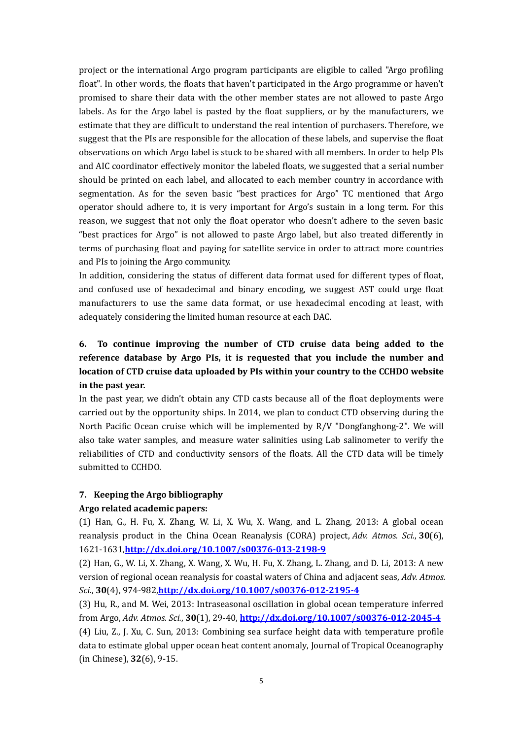project or the international Argo program participants are eligible to called "Argo profiling" float". In other words, the floats that haven't participated in the Argo programme or haven't promised to share their data with the other member states are not allowed to paste Argo labels. As for the Argo label is pasted by the float suppliers, or by the manufacturers, we estimate that they are difficult to understand the real intention of purchasers. Therefore, we suggest that the PIs are responsible for the allocation of these labels, and supervise the float observations on which Argo label is stuck to be shared with all members. In order to help PIs and AIC coordinator effectively monitor the labeled floats, we suggested that a serial number should be printed on each label, and allocated to each member country in accordance with segmentation. As for the seven basic "best practices for Argo" TC mentioned that Argo operator should adhere to, it is very important for Argo's sustain in a long term. For this reason, we suggest that not only the float operator who doesn't adhere to the seven basic "best practices for Argo" is not allowed to paste Argo label, but also treated differently in terms of purchasing float and paying for satellite service in order to attract more countries and PIs to joining the Argo community.

In addition, considering the status of different data format used for different types of float, and confused use of hexadecimal and binary encoding, we suggest AST could urge float manufacturers to use the same data format, or use hexadecimal encoding at least, with adequately considering the limited human resource at each DAC.

# **6. To continue improving the number of CTD cruise data being added to the reference database by Argo PIs, it is requested that you include the number and location of CTD cruise data uploaded by PIs within your country to the CCHDO website in** the past vear.

In the past year, we didn't obtain any CTD casts because all of the float deployments were carried out by the opportunity ships. In 2014, we plan to conduct CTD observing during the North Pacific Ocean cruise which will be implemented by  $R/V$  "Dongfanghong-2". We will also take water samples, and measure water salinities using Lab salinometer to verify the reliabilities of CTD and conductivity sensors of the floats. All the CTD data will be timely submitted to CCHDO.

### **7. Keeping the Argo bibliography**

### **Argo related academic papers:**

(1) Han, G., H. Fu, X. Zhang, W. Li, X. Wu, X. Wang, and L. Zhang, 2013: A global ocean reanalysis product in the China Ocean Reanalysis (CORA) project, *Adv. Atmos. Sci.*, **30**(6), 1621‐1631,**http://dx.doi.org/10.1007/s00376‐013‐2198‐9**

(2) Han, G., W. Li, X. Zhang, X. Wang, X. Wu, H. Fu, X. Zhang, L. Zhang, and D. Li, 2013: A new version of regional ocean reanalysis for coastal waters of China and adjacent seas, *Adv. Atmos. Sci.*, **30**(4), 974‐982,**http://dx.doi.org/10.1007/s00376‐012‐2195‐4**

(3) Hu, R., and M. Wei, 2013: Intraseasonal oscillation in global ocean temperature inferred from Argo, *Adv. Atmos. Sci.*, **30**(1), 29‐40, **http://dx.doi.org/10.1007/s00376‐012‐2045‐4** (4) Liu, Z., J. Xu, C. Sun, 2013: Combining sea surface height data with temperature profile data to estimate global upper ocean heat content anomaly, Journal of Tropical Oceanography (in Chinese), **32**(6), 9‐15.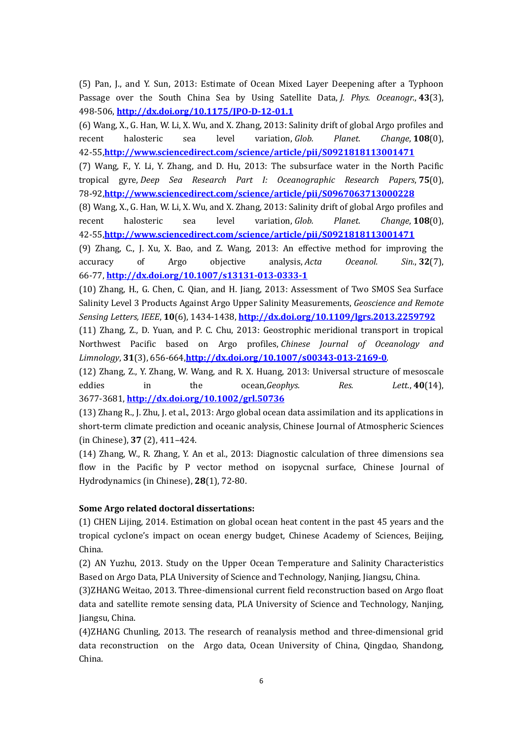(5) Pan, J., and Y. Sun, 2013: Estimate of Ocean Mixed Layer Deepening after a Typhoon Passage over the South China Sea by Using Satellite Data, *J. Phys. Oceanogr.*, 43(3), 498‐506, **http://dx.doi.org/10.1175/JPO‐D‐12‐01.1**

(6) Wang, X., G. Han, W. Li, X. Wu, and X. Zhang, 2013: Salinity drift of global Argo profiles and recent halosteric sea level variation, *Glob. Planet. Change*, **108**(0), 42‐55,**http://www.sciencedirect.com/science/article/pii/S0921818113001471**

(7) Wang, F., Y. Li, Y. Zhang, and D. Hu, 2013: The subsurface water in the North Pacific tropical gyre, *Deep Sea Research Part I: Oceanographic Research Papers*, **75**(0), 78‐92,**http://www.sciencedirect.com/science/article/pii/S0967063713000228**

(8) Wang, X., G. Han, W. Li, X. Wu, and X. Zhang, 2013: Salinity drift of global Argo profiles and recent halosteric sea level variation, *Glob. Planet. Change*, **108**(0), 42‐55,**http://www.sciencedirect.com/science/article/pii/S0921818113001471**

(9) Zhang, C., J. Xu, X. Bao, and Z. Wang, 2013: An effective method for improving the accuracy of Argo objective analysis, *Acta Oceanol. Sin.*, **32**(7), 66‐77, **http://dx.doi.org/10.1007/s13131‐013‐0333‐1**

(10) Zhang, H., G. Chen, C. Qian, and H. Jiang, 2013: Assessment of Two SMOS Sea Surface Salinity Level 3 Products Against Argo Upper Salinity Measurements, *Geoscience and Remote Sensing Letters, IEEE*, **10**(6), 1434‐1438, **http://dx.doi.org/10.1109/lgrs.2013.2259792**

(11) Zhang, Z., D. Yuan, and P. C. Chu, 2013: Geostrophic meridional transport in tropical Northwest Pacific based on Argo profiles, *Chinese Journal of Oceanology and Limnology*, **31**(3), 656‐664,**http://dx.doi.org/10.1007/s00343‐013‐2169‐0**. 

(12) Zhang, Z., Y. Zhang, W. Wang, and R. X. Huang, 2013: Universal structure of mesoscale eddies in the ocean,*Geophys.* Res. Lett., 40(14), 3677‐3681, **http://dx.doi.org/10.1002/grl.50736**

(13) Zhang R., J. Zhu, J. et al., 2013: Argo global ocean data assimilation and its applications in short-term climate prediction and oceanic analysis, Chinese Journal of Atmospheric Sciences (in Chinese), **37** (2), 411–424. 

(14) Zhang, W., R. Zhang, Y. An et al., 2013: Diagnostic calculation of three dimensions sea flow in the Pacific by P vector method on isopycnal surface, Chinese Journal of Hydrodynamics (in Chinese), **28**(1), 72-80.

### **Some Argo related doctoral dissertations:**

(1) CHEN Lijing, 2014. Estimation on global ocean heat content in the past 45 years and the tropical cyclone's impact on ocean energy budget, Chinese Academy of Sciences, Beijing, China. 

(2) AN Yuzhu, 2013. Study on the Upper Ocean Temperature and Salinity Characteristics Based on Argo Data, PLA University of Science and Technology, Nanjing, Jiangsu, China.

(3)ZHANG Weitao, 2013. Three-dimensional current field reconstruction based on Argo float data and satellite remote sensing data, PLA University of Science and Technology, Nanjing, Jiangsu, China.

(4)ZHANG Chunling, 2013. The research of reanalysis method and three-dimensional grid data reconstruction on the Argo data, Ocean University of China, Qingdao, Shandong, China.